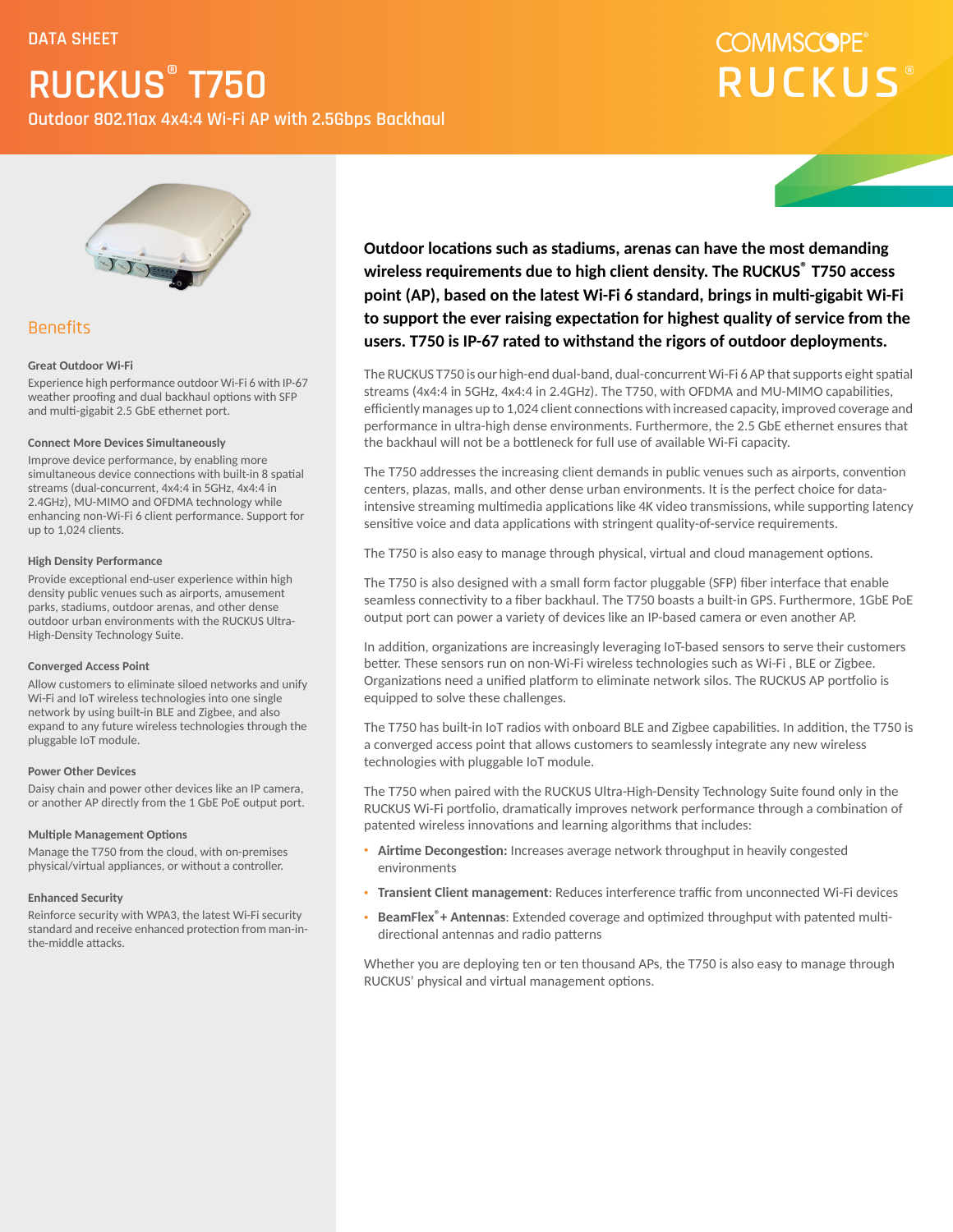**Outdoor 802.11ax 4x4:4 Wi-Fi AP with 2.5Gbps Backhaul**

### **COMMSCOPE® RUCKUS**



### **Benefits**

#### **Great Outdoor Wi-Fi**

Experience high performance outdoor Wi-Fi 6 with IP-67 weather proofing and dual backhaul options with SFP and multi-gigabit 2.5 GbE ethernet port.

#### **Connect More Devices Simultaneously**

Improve device performance, by enabling more simultaneous device connections with built-in 8 spatial streams (dual-concurrent, 4x4:4 in 5GHz, 4x4:4 in 2.4GHz), MU-MIMO and OFDMA technology while enhancing non-Wi-Fi 6 client performance. Support for up to 1,024 clients.

#### **High Density Performance**

Provide exceptional end-user experience within high density public venues such as airports, amusement parks, stadiums, outdoor arenas, and other dense outdoor urban environments with the RUCKUS Ultra-High-Density Technology Suite.

#### **Converged Access Point**

Allow customers to eliminate siloed networks and unify Wi-Fi and IoT wireless technologies into one single network by using built-in BLE and Zigbee, and also expand to any future wireless technologies through the pluggable IoT module.

#### **Power Other Devices**

Daisy chain and power other devices like an IP camera, or another AP directly from the 1 GbE PoE output port.

#### **Multiple Management Options**

Manage the T750 from the cloud, with on-premises physical/virtual appliances, or without a controller.

#### **Enhanced Security**

Reinforce security with WPA3, the latest Wi-Fi security standard and receive enhanced protection from man-inthe-middle attacks.

**Outdoor locations such as stadiums, arenas can have the most demanding wireless requirements due to high client density. The RUCKUS® T750 access point (AP), based on the latest Wi-Fi 6 standard, brings in mulgigabit Wi-Fi** to support the ever raising expectation for highest quality of service from the **users. T750 is IP-67 rated to withstand the rigors of outdoor deployments.**

The RUCKUS T750 is our high-end dual-band, dual-concurrent Wi-Fi 6 AP that supports eight spatial streams (4x4:4 in 5GHz, 4x4:4 in 2.4GHz). The T750, with OFDMA and MU-MIMO capabilities, efficiently manages up to 1,024 client connections with increased capacity, improved coverage and performance in ultra-high dense environments. Furthermore, the 2.5 GbE ethernet ensures that the backhaul will not be a bottleneck for full use of available Wi-Fi capacity.

The T750 addresses the increasing client demands in public venues such as airports, convention centers, plazas, malls, and other dense urban environments. It is the perfect choice for dataintensive streaming multimedia applications like 4K video transmissions, while supporting latency sensitive voice and data applications with stringent quality-of-service requirements.

The T750 is also easy to manage through physical, virtual and cloud management options.

The T750 is also designed with a small form factor pluggable (SFP) fiber interface that enable seamless connectivity to a fiber backhaul. The T750 boasts a built-in GPS. Furthermore, 1GbE PoE output port can power a variety of devices like an IP-based camera or even another AP.

In addition, organizations are increasingly leveraging IoT-based sensors to serve their customers better. These sensors run on non-Wi-Fi wireless technologies such as Wi-Fi, BLE or Zigbee. Organizations need a unified platform to eliminate network silos. The RUCKUS AP portfolio is equipped to solve these challenges.

The T750 has built-in IoT radios with onboard BLE and Zigbee capabilities. In addition, the T750 is a converged access point that allows customers to seamlessly integrate any new wireless technologies with pluggable IoT module.

The T750 when paired with the RUCKUS Ultra-High-Density Technology Suite found only in the RUCKUS Wi-Fi portfolio, dramatically improves network performance through a combination of patented wireless innovations and learning algorithms that includes:

- Airtime Decongestion: Increases average network throughput in heavily congested environments
- Transient Client management: Reduces interference traffic from unconnected Wi-Fi devices
- BeamFlex<sup>®</sup> + Antennas: Extended coverage and optimized throughput with patented multidirectional antennas and radio patterns

Whether you are deploying ten or ten thousand APs, the T750 is also easy to manage through RUCKUS' physical and virtual management options.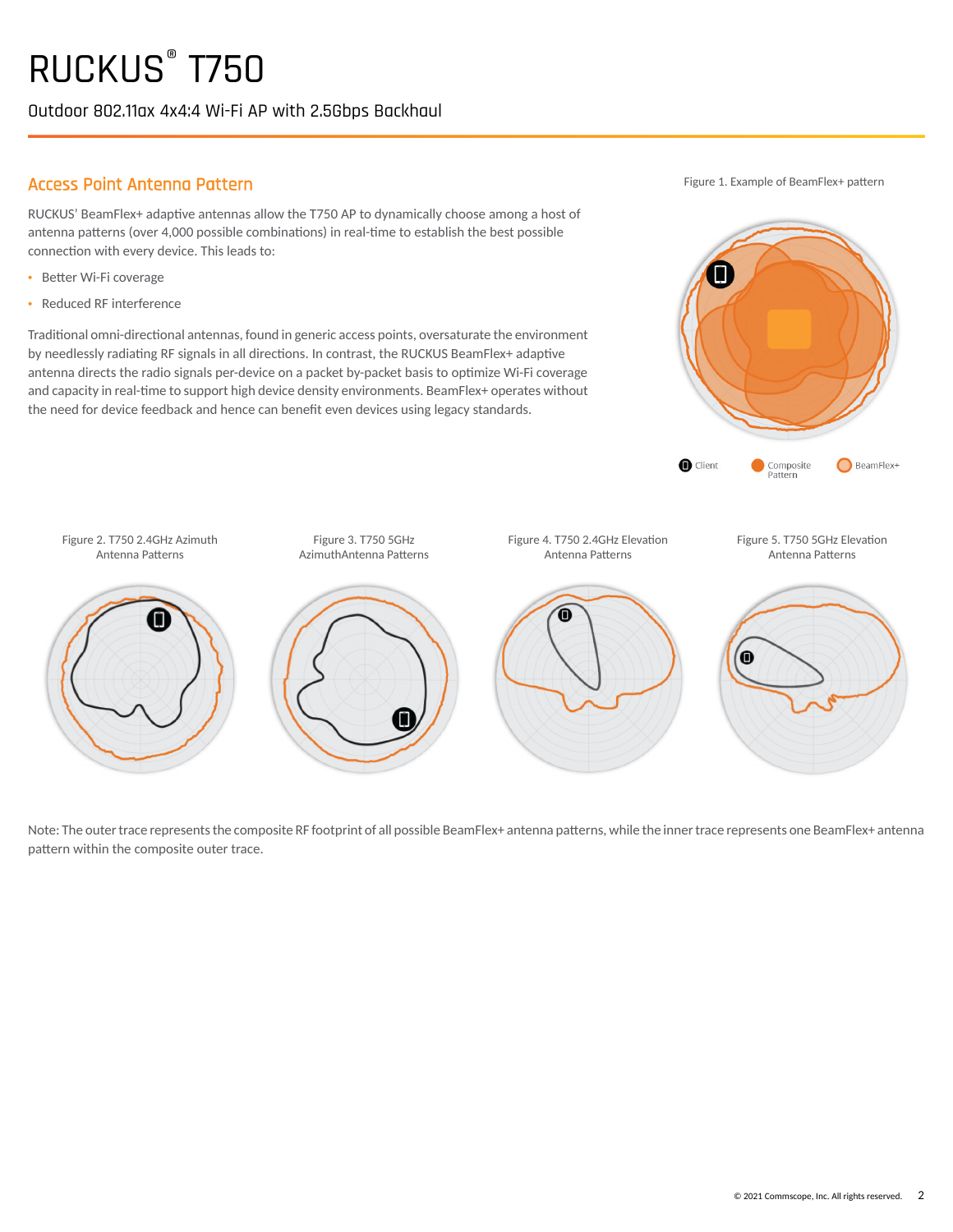Outdoor 802.11ax 4x4:4 Wi-Fi AP with 2.5Gbps Backhaul

### Access Point Antenna Pattern

RUCKUS' BeamFlex+ adaptive antennas allow the T750 AP to dynamically choose among a host of antenna patterns (over 4,000 possible combinations) in real-time to establish the best possible connection with every device. This leads to:

- Better Wi-Fi coverage
- · Reduced RF interference

Traditional omni-directional antennas, found in generic access points, oversaturate the environment by needlessly radiating RF signals in all directions. In contrast, the RUCKUS BeamFlex+ adaptive antenna directs the radio signals per-device on a packet by-packet basis to optimize Wi-Fi coverage and capacity in real-time to support high device density environments. BeamFlex+ operates without the need for device feedback and hence can benefit even devices using legacy standards.

Figure 1. Example of BeamFlex+ pattern





Note: The outer trace represents the composite RF footprint of all possible BeamFlex+ antenna patterns, while the inner trace represents one BeamFlex+ antenna pattern within the composite outer trace.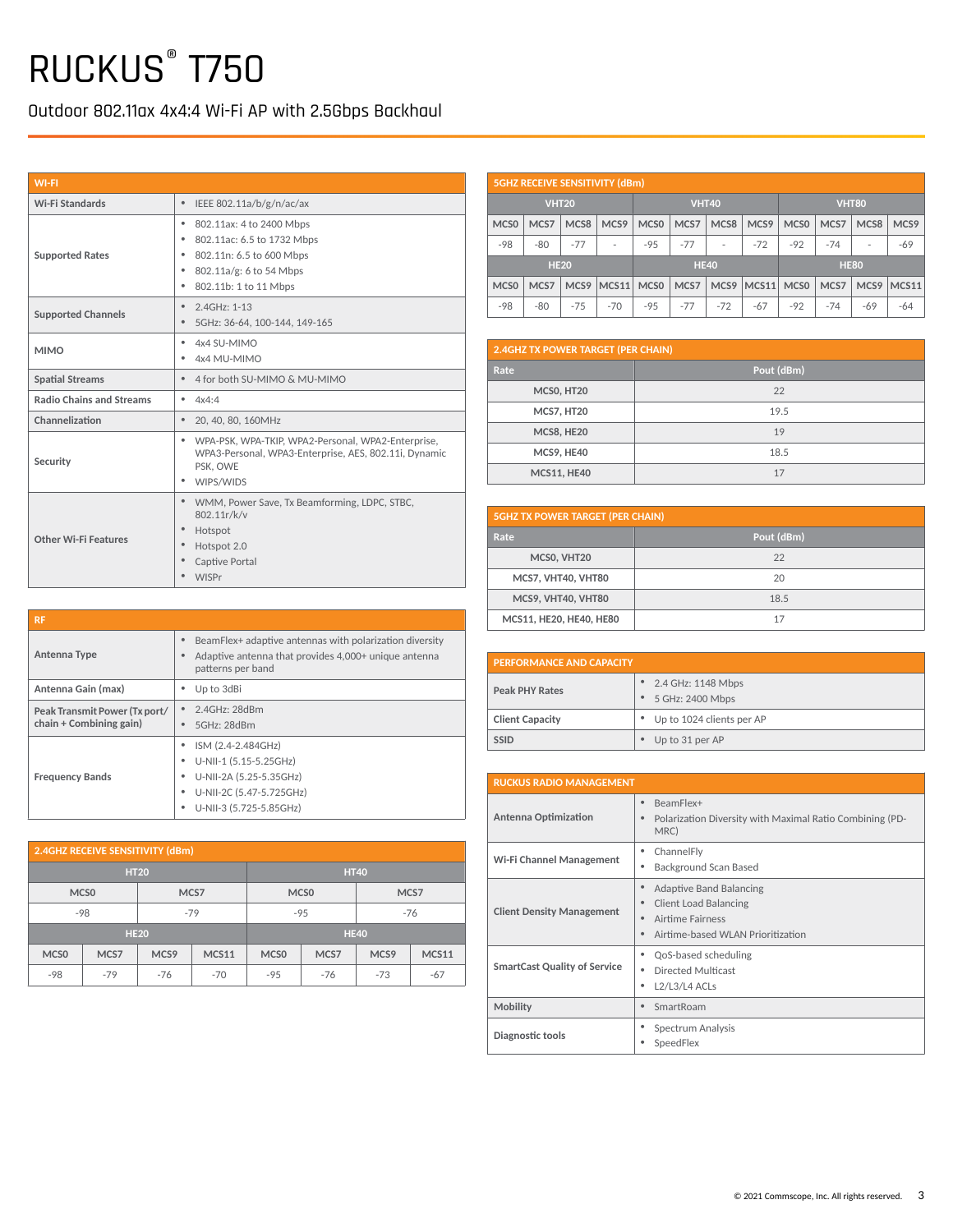Outdoor 802.11ax 4x4:4 Wi-Fi AP with 2.5Gbps Backhaul

| <b>WI-FI</b>                    |                                                                                                                                                                           |
|---------------------------------|---------------------------------------------------------------------------------------------------------------------------------------------------------------------------|
| Wi-Fi Standards                 | $\bullet$<br>IEEE 802.11a/b/g/n/ac/ax                                                                                                                                     |
| <b>Supported Rates</b>          | 802.11ax: 4 to 2400 Mbps<br>٠<br>٠<br>802.11ac: 6.5 to 1732 Mbps<br>802.11n: 6.5 to 600 Mbps<br>٠<br>802.11a/g: 6 to 54 Mbps<br>٠<br>٠<br>802.11b: 1 to 11 Mbps           |
| <b>Supported Channels</b>       | $2.4$ GHz: 1-13<br>$\bullet$<br>۰<br>5GHz: 36-64, 100-144, 149-165                                                                                                        |
| <b>MIMO</b>                     | 4x4 SU-MIMO<br>٠<br>٠<br>4x4 MU-MIMO                                                                                                                                      |
| <b>Spatial Streams</b>          | 4 for both SU-MIMO & MU-MIMO<br>$\bullet$                                                                                                                                 |
| <b>Radio Chains and Streams</b> | 4x4:4<br>٠                                                                                                                                                                |
| Channelization                  | $\bullet$<br>20, 40, 80, 160MHz                                                                                                                                           |
| Security                        | WPA-PSK, WPA-TKIP, WPA2-Personal, WPA2-Enterprise,<br>٠<br>WPA3-Personal, WPA3-Enterprise, AES, 802.11i, Dynamic<br>PSK, OWE<br>WIPS/WIDS<br>٠                            |
| Other Wi-Fi Features            | $\bullet$<br>WMM, Power Save, Tx Beamforming, LDPC, STBC,<br>802.11r/k/v<br>$\bullet$<br>Hotspot<br>Hotspot 2.0<br>$\bullet$<br>Captive Portal<br>$\bullet$<br>٠<br>WISPr |

| <b>RF</b>                                                |                                                                                                                                                    |
|----------------------------------------------------------|----------------------------------------------------------------------------------------------------------------------------------------------------|
| Antenna Type                                             | BeamFlex+ adaptive antennas with polarization diversity<br>Adaptive antenna that provides 4,000+ unique antenna<br>٠<br>patterns per band          |
| Antenna Gain (max)                                       | Up to 3dBi                                                                                                                                         |
| Peak Transmit Power (Tx port/<br>chain + Combining gain) | 2.4GHz: 28dBm<br>٠<br>5GHz: 28dBm<br>$\bullet$                                                                                                     |
| <b>Frequency Bands</b>                                   | ISM (2.4-2.484GHz)<br>٠<br>U-NII-1 (5.15-5.25GHz)<br>٠<br>U-NII-2A (5.25-5.35GHz)<br>٠<br>U-NII-2C (5.47-5.725GHz)<br>٠<br>U-NII-3 (5.725-5.85GHz) |

| 2.4GHZ RECEIVE SENSITIVITY (dBm) |                  |                  |                |                  |             |       |              |
|----------------------------------|------------------|------------------|----------------|------------------|-------------|-------|--------------|
| <b>HT20</b>                      |                  |                  | <b>HT40</b>    |                  |             |       |              |
|                                  | MCS <sub>0</sub> | MCS7             |                | MCS <sub>0</sub> |             | MCS7  |              |
| $-98$                            |                  |                  | $-79$<br>$-95$ |                  |             | $-76$ |              |
|                                  | <b>HE20</b>      |                  |                |                  | <b>HE40</b> |       |              |
| MCS <sub>0</sub>                 | MCS7             | MCS <sub>9</sub> | <b>MCS11</b>   | MCS <sub>0</sub> | MCS7        | MCS9  | <b>MCS11</b> |
| -98                              | $-79$            | $-76$            | $-70$          | $-95$            | $-76$       | $-73$ | $-67$        |

|                  |                            |              | <b>5GHZ RECEIVE SENSITIVITY (dBm)</b> |                  |       |                  |       |                  |       |              |                  |
|------------------|----------------------------|--------------|---------------------------------------|------------------|-------|------------------|-------|------------------|-------|--------------|------------------|
|                  |                            | <b>VHT20</b> |                                       |                  |       | <b>VHT40</b>     |       |                  |       | <b>VHT80</b> |                  |
| MCS <sub>0</sub> | MCS7                       | MCS8         | MCS <sub>9</sub>                      | MCS <sub>0</sub> | MCS7  | MCS8             | MCS9  | MCS <sub>0</sub> | MCS7  | MCS8         | MCS <sub>9</sub> |
| $-98$            | -80                        | $-77$        |                                       | $-95$            | $-77$ | ٠                | $-72$ | $-92$            | $-74$ | ۰            | $-69$            |
|                  | <b>HE20</b><br><b>HE40</b> |              |                                       |                  |       | <b>HE80</b>      |       |                  |       |              |                  |
| MCS <sub>0</sub> | MCS7                       | MCS9         | MCS11                                 | MCS <sub>0</sub> | MCS7  | MCS <sub>9</sub> | MCS11 | MCS <sub>0</sub> | MCS7  | MCS9         | MCS11            |
| $-98$            | $-80$                      | $-75$        | $-70$                                 | $-95$            | $-77$ | $-72$            | $-67$ | $-92$            | $-74$ | $-69$        | $-64$            |

| 2.4GHZ TX POWER TARGET (PER CHAIN) |            |  |  |
|------------------------------------|------------|--|--|
| Rate                               | Pout (dBm) |  |  |
| MCSO, HT20                         | 22         |  |  |
| <b>MCS7, HT20</b>                  | 19.5       |  |  |
| MCS8, HE20                         | 19         |  |  |
| MCS9, HE40                         | 18.5       |  |  |
| <b>MCS11, HE40</b>                 | 17         |  |  |

| <b>5GHZ TX POWER TARGET (PER CHAIN)</b> |            |  |  |
|-----------------------------------------|------------|--|--|
| Rate                                    | Pout (dBm) |  |  |
| MCS0, VHT20                             | 22         |  |  |
| MCS7, VHT40, VHT80                      | 20         |  |  |
| MCS9, VHT40, VHT80                      | 18.5       |  |  |
| MCS11, HE20, HE40, HE80                 | 17         |  |  |

| <b>PERFORMANCE AND CAPACITY</b> |                                                       |  |  |
|---------------------------------|-------------------------------------------------------|--|--|
| <b>Peak PHY Rates</b>           | • 2.4 GHz: 1148 Mbps<br>5 GHz: 2400 Mbps<br>$\bullet$ |  |  |
| <b>Client Capacity</b>          | • Up to 1024 clients per AP                           |  |  |
| <b>SSID</b>                     | Up to 31 per AP<br>۰                                  |  |  |

| <b>RUCKUS RADIO MANAGEMENT</b>      |                                                                                                                                      |  |  |  |
|-------------------------------------|--------------------------------------------------------------------------------------------------------------------------------------|--|--|--|
| Antenna Optimization                | BeamFlex+<br>$\bullet$<br>Polarization Diversity with Maximal Ratio Combining (PD-<br>٠<br>MRC)                                      |  |  |  |
| Wi-Fi Channel Management            | ChannelFly<br>٠<br><b>Background Scan Based</b><br>٠                                                                                 |  |  |  |
| <b>Client Density Management</b>    | Adaptive Band Balancing<br>۰<br><b>Client Load Balancing</b><br>٠<br>Airtime Fairness<br>٠<br>Airtime-based WLAN Prioritization<br>٠ |  |  |  |
| <b>SmartCast Quality of Service</b> | QoS-based scheduling<br>٠<br>Directed Multicast<br>٠<br>$L2/L3/L4$ ACLs<br>٠                                                         |  |  |  |
| Mobility                            | SmartRoam<br>٠                                                                                                                       |  |  |  |
| Diagnostic tools                    | Spectrum Analysis<br>٠<br>SpeedFlex<br>٠                                                                                             |  |  |  |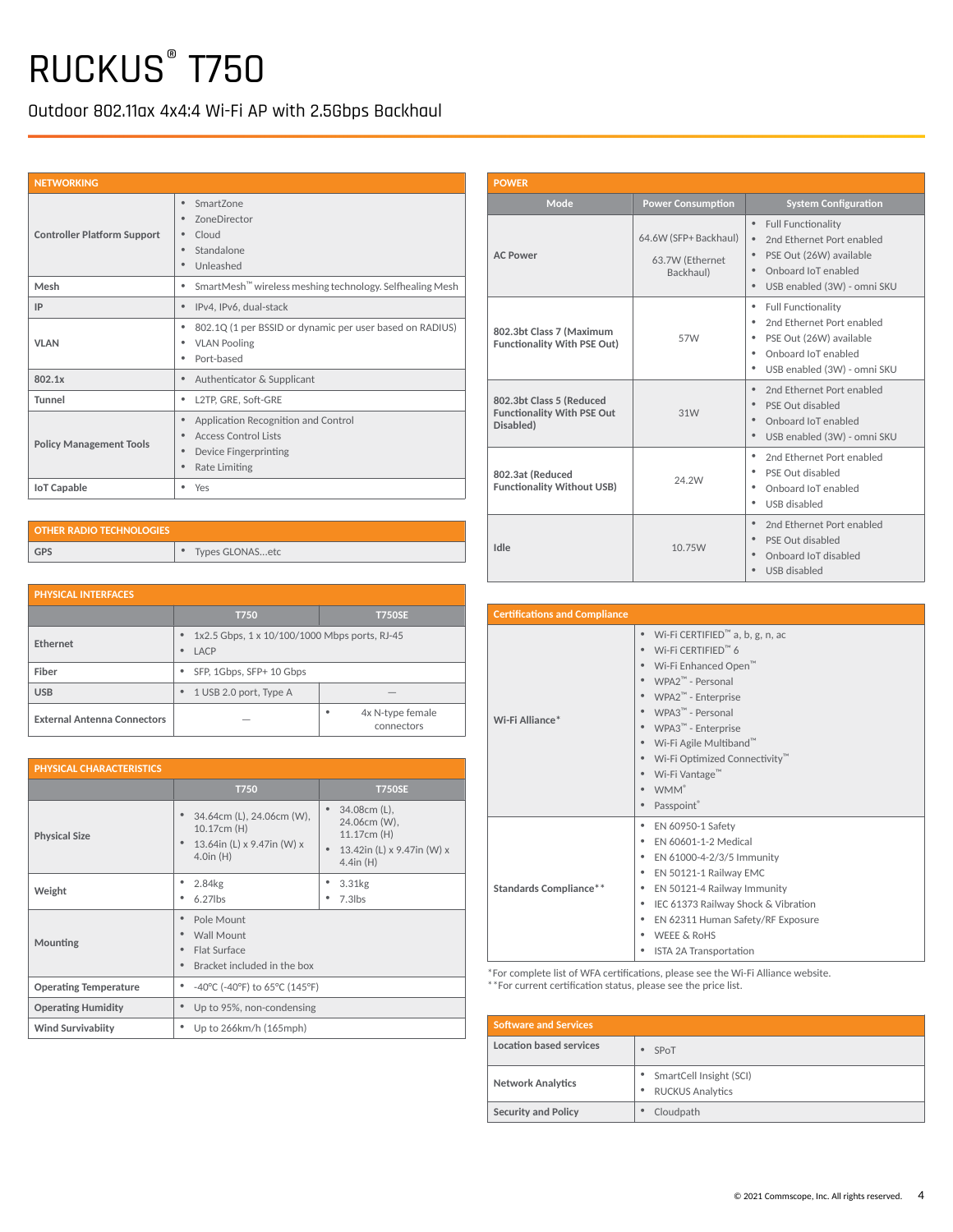Outdoor 802.11ax 4x4:4 Wi-Fi AP with 2.5Gbps Backhaul

| <b>NETWORKING</b>                  |                                                                                                                   |
|------------------------------------|-------------------------------------------------------------------------------------------------------------------|
| <b>Controller Platform Support</b> | SmartZone<br><b>ZoneDirector</b><br>Cloud<br>Standalone<br>Unleashed<br>٠                                         |
| Mesh                               | SmartMesh <sup>™</sup> wireless meshing technology. Selfhealing Mesh<br>٠                                         |
| IP                                 | IPv4, IPv6, dual-stack<br>۰                                                                                       |
| <b>VLAN</b>                        | 802.1Q (1 per BSSID or dynamic per user based on RADIUS)<br><b>VLAN Pooling</b><br>Port-based                     |
| 802.1x                             | Authenticator & Supplicant                                                                                        |
| Tunnel                             | L2TP, GRE, Soft-GRE<br>٠                                                                                          |
| <b>Policy Management Tools</b>     | Application Recognition and Control<br><b>Access Control Lists</b><br>Device Fingerprinting<br>Rate Limiting<br>۰ |
| <b>IoT Capable</b>                 | Yes<br>٠                                                                                                          |

| <b>OTHER RADIO TECHNOLOGIES</b> |                 |
|---------------------------------|-----------------|
| <b>GPS</b>                      | Types GLONASetc |

| <b>PHYSICAL INTERFACES</b>         |                                                            |                                             |  |  |  |
|------------------------------------|------------------------------------------------------------|---------------------------------------------|--|--|--|
|                                    | <b>T750SE</b><br><b>T750</b>                               |                                             |  |  |  |
| <b>Ethernet</b>                    | 1x2.5 Gbps, 1 x 10/100/1000 Mbps ports, RJ-45<br>LACP<br>٠ |                                             |  |  |  |
| Fiber                              | SFP, 1Gbps, SFP+ 10 Gbps<br>٠                              |                                             |  |  |  |
| <b>USB</b>                         | 1 USB 2.0 port, Type A<br>۰                                |                                             |  |  |  |
| <b>External Antenna Connectors</b> |                                                            | 4x N-type female<br>$\bullet$<br>connectors |  |  |  |

| <b>PHYSICAL CHARACTERISTICS</b> |                                                                                                            |                                                                                                          |  |  |  |
|---------------------------------|------------------------------------------------------------------------------------------------------------|----------------------------------------------------------------------------------------------------------|--|--|--|
|                                 | <b>T750</b>                                                                                                | <b>T750SE</b>                                                                                            |  |  |  |
| <b>Physical Size</b>            | 34.64cm (L), 24.06cm (W),<br>$\bullet$<br>10.17cm (H)<br>13.64in (L) x 9.47in (W) x<br>٠<br>$4.0$ in $(H)$ | 34.08cm (L),<br>24.06cm (W),<br>11.17cm (H)<br>13.42in (L) x 9.47in (W) x<br>$\bullet$<br>$4.4$ in $(H)$ |  |  |  |
| Weight                          | 2.84kg<br>٠<br>$6.27$ lbs<br>٠                                                                             | 3.31kg<br>٠<br>$7.3$ lbs<br>٠                                                                            |  |  |  |
| Mounting                        | Pole Mount<br>٠<br>Wall Mount<br>٠<br>Flat Surface<br>٠<br>Bracket included in the box<br>٠                |                                                                                                          |  |  |  |
| <b>Operating Temperature</b>    | -40°C (-40°F) to 65°C (145°F)<br>٠                                                                         |                                                                                                          |  |  |  |
| <b>Operating Humidity</b>       | Up to 95%, non-condensing<br>۰                                                                             |                                                                                                          |  |  |  |
| <b>Wind Survivabiity</b>        | Up to 266km/h (165mph)<br>٠                                                                                |                                                                                                          |  |  |  |

| <b>POWER</b>                                                               |                                                       |                                                                                                                                                                                                          |
|----------------------------------------------------------------------------|-------------------------------------------------------|----------------------------------------------------------------------------------------------------------------------------------------------------------------------------------------------------------|
| Mode                                                                       | <b>Power Consumption</b>                              | <b>System Configuration</b>                                                                                                                                                                              |
| <b>AC Power</b>                                                            | 64.6W (SFP+ Backhaul)<br>63.7W (Ethernet<br>Backhaul) | $\bullet$<br><b>Full Functionality</b><br>$\bullet$<br>2nd Ethernet Port enabled<br>PSE Out (26W) available<br>$\bullet$<br>Onboard IoT enabled<br>$\bullet$<br>$\bullet$<br>USB enabled (3W) - omni SKU |
| 802.3bt Class 7 (Maximum<br><b>Functionality With PSE Out)</b>             | 57W                                                   | <b>Full Functionality</b><br>٠<br>2nd Ethernet Port enabled<br>٠<br>PSE Out (26W) available<br>٠<br>Onboard IoT enabled<br>٠<br>٠<br>USB enabled (3W) - omni SKU                                         |
| 802.3bt Class 5 (Reduced<br><b>Functionality With PSE Out</b><br>Disabled) | 31W                                                   | 2nd Ethernet Port enabled<br>$\bullet$<br>$\bullet$<br>PSE Out disabled<br>Onboard IoT enabled<br>٠<br>USB enabled (3W) - omni SKU<br>$\bullet$                                                          |
| 802.3at (Reduced<br><b>Functionality Without USB)</b>                      | 24.2W                                                 | 2nd Ethernet Port enabled<br>٠<br>PSE Out disabled<br>٠<br>Onboard IoT enabled<br>٠<br>USB disabled<br>٠                                                                                                 |
| Idle                                                                       | 10.75W                                                | $\bullet$<br>2nd Ethernet Port enabled<br>PSE Out disabled<br>$\bullet$<br>Onboard IoT disabled<br>$\bullet$<br>$\bullet$<br>USB disabled                                                                |

| <b>Certifications and Compliance</b> |                                                                                                                                                                                                                                                                                                                                                                                         |
|--------------------------------------|-----------------------------------------------------------------------------------------------------------------------------------------------------------------------------------------------------------------------------------------------------------------------------------------------------------------------------------------------------------------------------------------|
| Wi-Fi Alliance*                      | Wi-Fi CERTIFIED <sup>™</sup> a, b, g, n, ac<br>Wi-Fi CERTIFIED™ 6<br>Wi-Fi Enhanced Open <sup>™</sup><br>WPA2 <sup>™</sup> - Personal<br>WPA2 <sup>™</sup> - Enterprise<br>WPA3 <sup>™</sup> - Personal<br>WPA3 <sup>™</sup> - Enterprise<br>Wi-Fi Agile Multiband <sup>™</sup><br>Wi-Fi Optimized Connectivity <sup>™</sup><br>Wi-Fi Vantage™<br><b>WMM</b> <sup>®</sup><br>Passpoint® |
| <b>Standards Compliance**</b>        | EN 60950-1 Safety<br>EN 60601-1-2 Medical<br>EN 61000-4-2/3/5 Immunity<br>٠<br>EN 50121-1 Railway EMC<br>٠<br>EN 50121-4 Railway Immunity<br>IEC 61373 Railway Shock & Vibration<br>٠<br>EN 62311 Human Safety/RF Exposure<br><b>WEEE &amp; RoHS</b><br>ISTA 2A Transportation                                                                                                          |

\*For complete list of WFA certifications, please see the Wi-Fi Alliance website. \*\*For current certification status, please see the price list.

| <b>Software and Services</b> |                                                           |
|------------------------------|-----------------------------------------------------------|
| Location based services      | SPoT                                                      |
| <b>Network Analytics</b>     | • SmartCell Insight (SCI)<br><b>RUCKUS Analytics</b><br>٠ |
| <b>Security and Policy</b>   | Cloudpath                                                 |